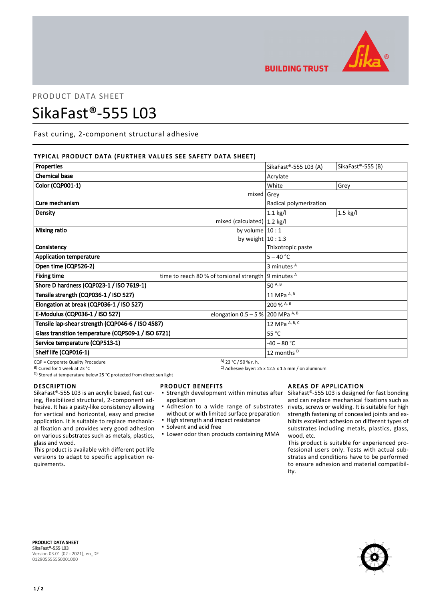

**BUILDING TRUST** 

# PRODUCT DATA SHEET

# SikaFast®-555 L03

Fast curing, 2-component structural adhesive

# TYPICAL PRODUCT DATA (FURTHER VALUES SEE SAFETY DATA SHEET)

| Properties                                                                              | SikaFast®-555 L03 (A)  | SikaFast®-555 (B) |  |
|-----------------------------------------------------------------------------------------|------------------------|-------------------|--|
| <b>Chemical base</b>                                                                    | Acrylate               |                   |  |
| Color (CQP001-1)                                                                        | White                  | Grey              |  |
|                                                                                         | $mixed $ Grey          |                   |  |
| Cure mechanism                                                                          | Radical polymerization |                   |  |
| Density                                                                                 | $1.1$ kg/l             | $1.5$ kg/l        |  |
| mixed (calculated) $ 1.2 \text{ kg/l} $                                                 |                        |                   |  |
| Mixing ratio<br>by volume $10:1$                                                        |                        |                   |  |
|                                                                                         | by weight $10:1.3$     |                   |  |
| Consistency                                                                             | Thixotropic paste      |                   |  |
| <b>Application temperature</b>                                                          | $5 - 40 °C$            |                   |  |
| Open time (CQP526-2)                                                                    | 3 minutes <sup>A</sup> |                   |  |
| <b>Fixing time</b><br>time to reach 80 % of torsional strength                          | 9 minutes <sup>A</sup> |                   |  |
| Shore D hardness (CQP023-1 / ISO 7619-1)                                                | 50 A, B                |                   |  |
| Tensile strength (CQP036-1 / ISO 527)                                                   | 11 MPa A, B            |                   |  |
| Elongation at break (CQP036-1 / ISO 527)                                                | 200 % A, B             |                   |  |
| <b>E-Modulus (CQP036-1 / ISO 527)</b><br>elongation $0.5 - 5$ % 200 MPa <sup>A, B</sup> |                        |                   |  |
| Tensile lap-shear strength (CQP046-6 / ISO 4587)                                        | 12 MPa A, B, C         |                   |  |
| Glass transition temperature (CQP509-1 / ISO 6721)                                      | 55 °C                  |                   |  |
| Service temperature (CQP513-1)                                                          | $-40 - 80 °C$          |                   |  |
| Shelf life (CQP016-1)                                                                   | 12 months D            |                   |  |

Strength development within minutes after ▪

**•** Adhesion to a wide range of substrates without or with limited surface preparation **· High strength and impact resistance** 

**.** Lower odor than products containing MMA

PRODUCT BENEFITS

▪ Solvent and acid free

application

CQP = Corporate Quality Procedure  $\frac{B}{B}$  23 °C / 50 % r. h.<br>
B) Cured for 1 week at 23 °C  $\frac{C}{B}$  adhesive layer: 2

D) Stored at temperature below 25 °C protected from direct sun light

## DESCRIPTION

SikaFast®-555 L03 is an acrylic based, fast curing, flexibilized structural, 2-component adhesive. It has a pasty-like consistency allowing for vertical and horizontal, easy and precise application. It is suitable to replace mechanical fixation and provides very good adhesion on various substrates such as metals, plastics, glass and wood.

This product is available with different pot life versions to adapt to specific application requirements.

C) Adhesive layer:  $25 \times 12.5 \times 1.5$  mm / on aluminum

AREAS OF APPLICATION

SikaFast®-555 L03 is designed for fast bonding and can replace mechanical fixations such as rivets, screws or welding. It is suitable for high strength fastening of concealed joints and exhibits excellent adhesion on different types of substrates including metals, plastics, glass, wood, etc.

This product is suitable for experienced professional users only. Tests with actual substrates and conditions have to be performed to ensure adhesion and material compatibility.

PRODUCT DATA SHEET SikaFast®-555 L03 Version 03.01 (02 - 2021), en\_DE 012905555550001000